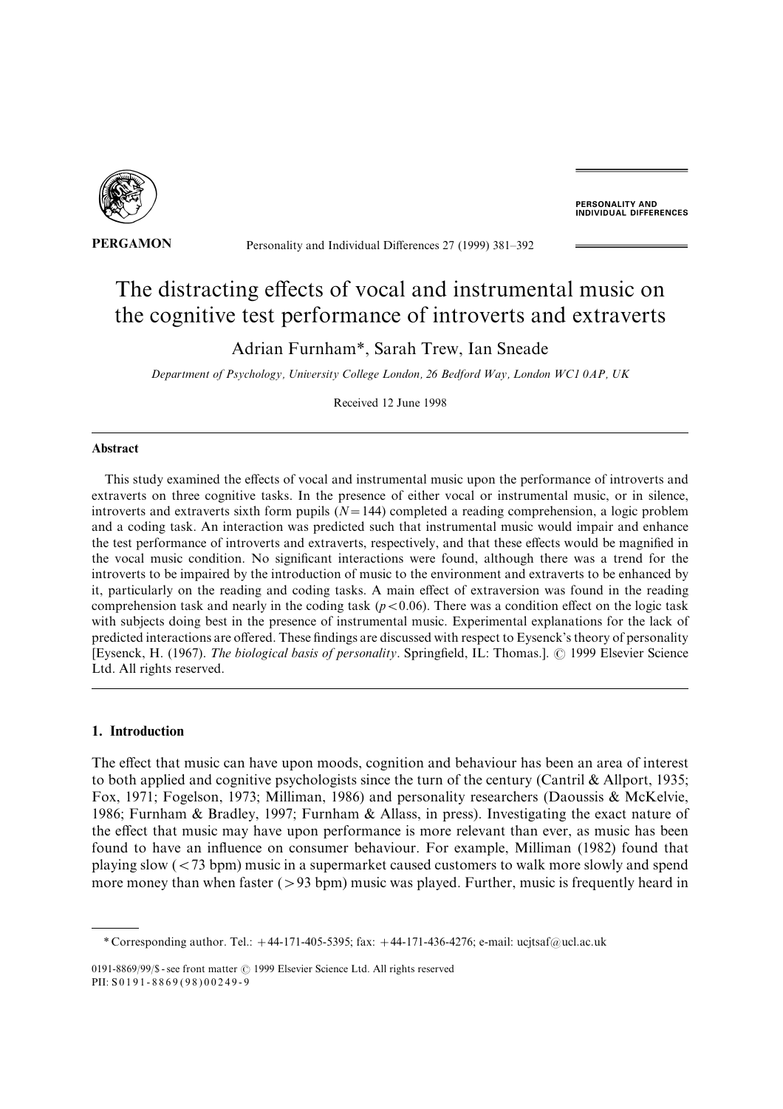

**PERSONALITY AND<br>INDIVIDUAL DIFFERENCES** 

**PERGAMON** Personality and Individual Differences 27 (1999) 381–392

# The distracting effects of vocal and instrumental music on the cognitive test performance of introverts and extraverts

Adrian Furnham\*, Sarah Trew, Ian Sneade

Department of Psychology, University College London, 26 Bedford Way, London WC1 0AP, UK

Received 12 June 1998

## Abstract

This study examined the effects of vocal and instrumental music upon the performance of introverts and extraverts on three cognitive tasks. In the presence of either vocal or instrumental music, or in silence, introverts and extraverts sixth form pupils  $(N=144)$  completed a reading comprehension, a logic problem and a coding task. An interaction was predicted such that instrumental music would impair and enhance the test performance of introverts and extraverts, respectively, and that these effects would be magnified in the vocal music condition. No significant interactions were found, although there was a trend for the introverts to be impaired by the introduction of music to the environment and extraverts to be enhanced by it, particularly on the reading and coding tasks. A main effect of extraversion was found in the reading comprehension task and nearly in the coding task ( $p < 0.06$ ). There was a condition effect on the logic task with subjects doing best in the presence of instrumental music. Experimental explanations for the lack of predicted interactions are offered. These findings are discussed with respect to Eysenck's theory of personality [Eysenck, H. (1967). The biological basis of personality. Springfield, IL: Thomas.]. © 1999 Elsevier Science Ltd. All rights reserved.

# 1. Introduction

The effect that music can have upon moods, cognition and behaviour has been an area of interest to both applied and cognitive psychologists since the turn of the century (Cantril  $\&$  Allport, 1935; Fox, 1971; Fogelson, 1973; Milliman, 1986) and personality researchers (Daoussis & McKelvie, 1986; Furnham & Bradley, 1997; Furnham & Allass, in press). Investigating the exact nature of the effect that music may have upon performance is more relevant than ever, as music has been found to have an influence on consumer behaviour. For example, Milliman  $(1982)$  found that playing slow  $\left( \langle 73 \text{ bpm} \rangle \right)$  music in a supermarket caused customers to walk more slowly and spend more money than when faster  $(>93$  bpm) music was played. Further, music is frequently heard in

0191-8869/99/\$ - see front matter  $\odot$  1999 Elsevier Science Ltd. All rights reserved PII: S0191-8869(98)00249-9

<sup>\*</sup> Corresponding author. Tel.:  $+44-171-405-5395$ ; fax:  $+44-171-436-4276$ ; e-mail: ucjtsaf@ucl.ac.uk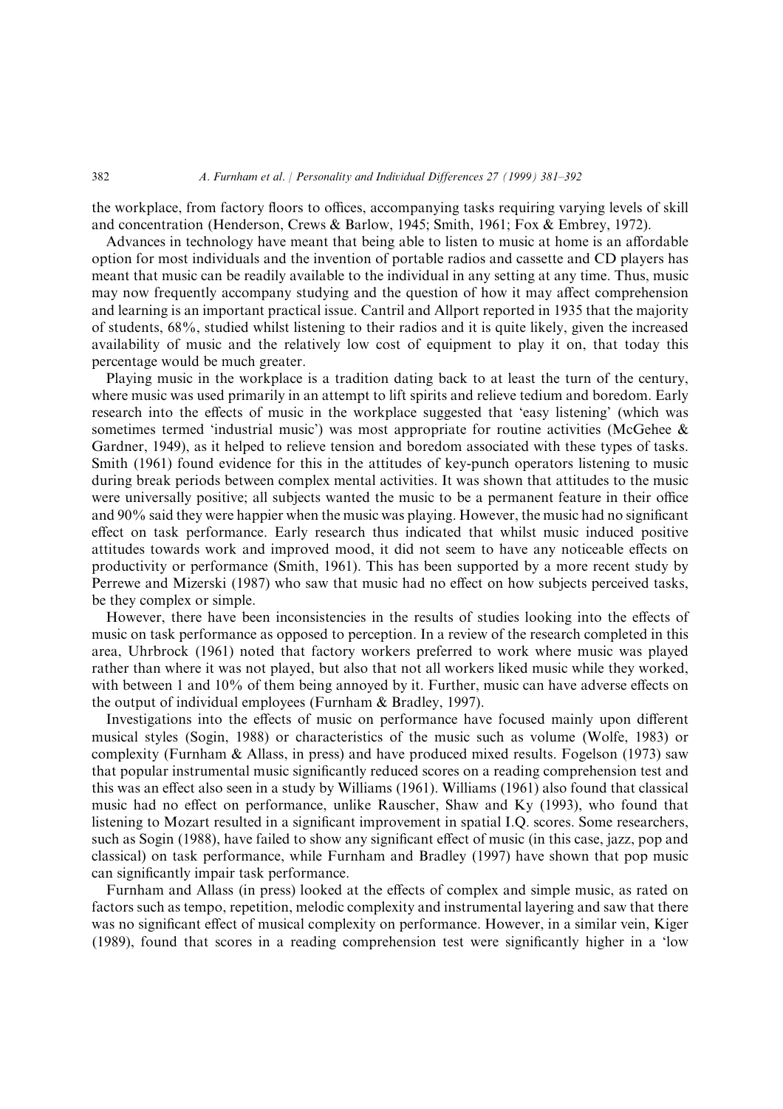the workplace, from factory floors to offices, accompanying tasks requiring varying levels of skill and concentration (Henderson, Crews & Barlow, 1945; Smith, 1961; Fox & Embrey, 1972).

Advances in technology have meant that being able to listen to music at home is an affordable option for most individuals and the invention of portable radios and cassette and CD players has meant that music can be readily available to the individual in any setting at any time. Thus, music may now frequently accompany studying and the question of how it may affect comprehension and learning is an important practical issue. Cantril and Allport reported in 1935 that the majority of students,  $68\%$ , studied whilst listening to their radios and it is quite likely, given the increased availability of music and the relatively low cost of equipment to play it on, that today this percentage would be much greater.

Playing music in the workplace is a tradition dating back to at least the turn of the century, where music was used primarily in an attempt to lift spirits and relieve tedium and boredom. Early research into the effects of music in the workplace suggested that 'easy listening' (which was sometimes termed 'industrial music') was most appropriate for routine activities (McGehee  $\&$ Gardner, 1949), as it helped to relieve tension and boredom associated with these types of tasks. Smith (1961) found evidence for this in the attitudes of key-punch operators listening to music during break periods between complex mental activities. It was shown that attitudes to the music were universally positive; all subjects wanted the music to be a permanent feature in their office and  $90\%$  said they were happier when the music was playing. However, the music had no significant effect on task performance. Early research thus indicated that whilst music induced positive attitudes towards work and improved mood, it did not seem to have any noticeable effects on productivity or performance (Smith, 1961). This has been supported by a more recent study by Perrewe and Mizerski (1987) who saw that music had no effect on how subjects perceived tasks, be they complex or simple.

However, there have been inconsistencies in the results of studies looking into the effects of music on task performance as opposed to perception. In a review of the research completed in this area, Uhrbrock (1961) noted that factory workers preferred to work where music was played rather than where it was not played, but also that not all workers liked music while they worked, with between 1 and  $10\%$  of them being annoyed by it. Further, music can have adverse effects on the output of individual employees (Furnham  $\&$  Bradley, 1997).

Investigations into the effects of music on performance have focused mainly upon different musical styles (Sogin, 1988) or characteristics of the music such as volume (Wolfe, 1983) or complexity (Furnham  $\&$  Allass, in press) and have produced mixed results. Fogelson (1973) saw that popular instrumental music significantly reduced scores on a reading comprehension test and this was an effect also seen in a study by Williams (1961). Williams (1961) also found that classical music had no effect on performance, unlike Rauscher, Shaw and Ky  $(1993)$ , who found that listening to Mozart resulted in a significant improvement in spatial I.Q. scores. Some researchers, such as Sogin (1988), have failed to show any significant effect of music (in this case, jazz, pop and classical) on task performance, while Furnham and Bradley (1997) have shown that pop music can significantly impair task performance.

Furnham and Allass (in press) looked at the effects of complex and simple music, as rated on factors such as tempo, repetition, melodic complexity and instrumental layering and saw that there was no significant effect of musical complexity on performance. However, in a similar vein, Kiger  $(1989)$ , found that scores in a reading comprehension test were significantly higher in a 'low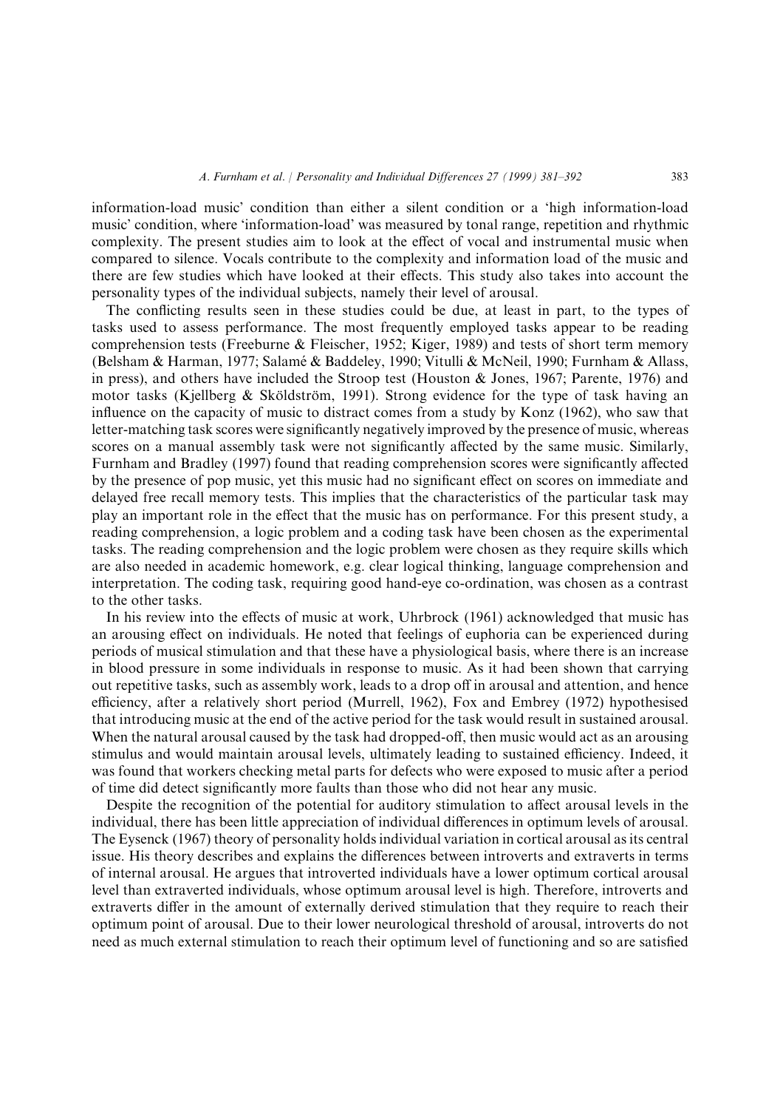information-load music' condition than either a silent condition or a 'high information-load music' condition, where 'information-load' was measured by tonal range, repetition and rhythmic complexity. The present studies aim to look at the effect of vocal and instrumental music when compared to silence. Vocals contribute to the complexity and information load of the music and there are few studies which have looked at their effects. This study also takes into account the personality types of the individual subjects, namely their level of arousal.

The conflicting results seen in these studies could be due, at least in part, to the types of tasks used to assess performance. The most frequently employed tasks appear to be reading comprehension tests (Freeburne & Fleischer, 1952; Kiger, 1989) and tests of short term memory (Belsham & Harman, 1977; Salamé & Baddeley, 1990; Vitulli & McNeil, 1990; Furnham & Allass, in press), and others have included the Stroop test (Houston  $\&$  Jones, 1967; Parente, 1976) and motor tasks (Kjellberg  $\&$  Sköldström, 1991). Strong evidence for the type of task having an influence on the capacity of music to distract comes from a study by Konz  $(1962)$ , who saw that letter-matching task scores were significantly negatively improved by the presence of music, whereas scores on a manual assembly task were not significantly affected by the same music. Similarly, Furnham and Bradley (1997) found that reading comprehension scores were significantly affected by the presence of pop music, yet this music had no significant effect on scores on immediate and delayed free recall memory tests. This implies that the characteristics of the particular task may play an important role in the effect that the music has on performance. For this present study, a reading comprehension, a logic problem and a coding task have been chosen as the experimental tasks. The reading comprehension and the logic problem were chosen as they require skills which are also needed in academic homework, e.g. clear logical thinking, language comprehension and interpretation. The coding task, requiring good hand-eye co-ordination, was chosen as a contrast to the other tasks.

In his review into the effects of music at work, Uhrbrock  $(1961)$  acknowledged that music has an arousing effect on individuals. He noted that feelings of euphoria can be experienced during periods of musical stimulation and that these have a physiological basis\ where there is an increase in blood pressure in some individuals in response to music. As it had been shown that carrying out repetitive tasks, such as assembly work, leads to a drop off in arousal and attention, and hence efficiency, after a relatively short period (Murrell, 1962), Fox and Embrey  $(1972)$  hypothesised that introducing music at the end of the active period for the task would result in sustained arousal. When the natural arousal caused by the task had dropped-off, then music would act as an arousing stimulus and would maintain arousal levels, ultimately leading to sustained efficiency. Indeed, it was found that workers checking metal parts for defects who were exposed to music after a period of time did detect significantly more faults than those who did not hear any music.

Despite the recognition of the potential for auditory stimulation to affect arousal levels in the individual, there has been little appreciation of individual differences in optimum levels of arousal. The Eysenck (1967) theory of personality holds individual variation in cortical arousal as its central issue. His theory describes and explains the differences between introverts and extraverts in terms of internal arousal[ He argues that introverted individuals have a lower optimum cortical arousal level than extraverted individuals, whose optimum arousal level is high. Therefore, introverts and extraverts differ in the amount of externally derived stimulation that they require to reach their optimum point of arousal. Due to their lower neurological threshold of arousal, introverts do not need as much external stimulation to reach their optimum level of functioning and so are satisfied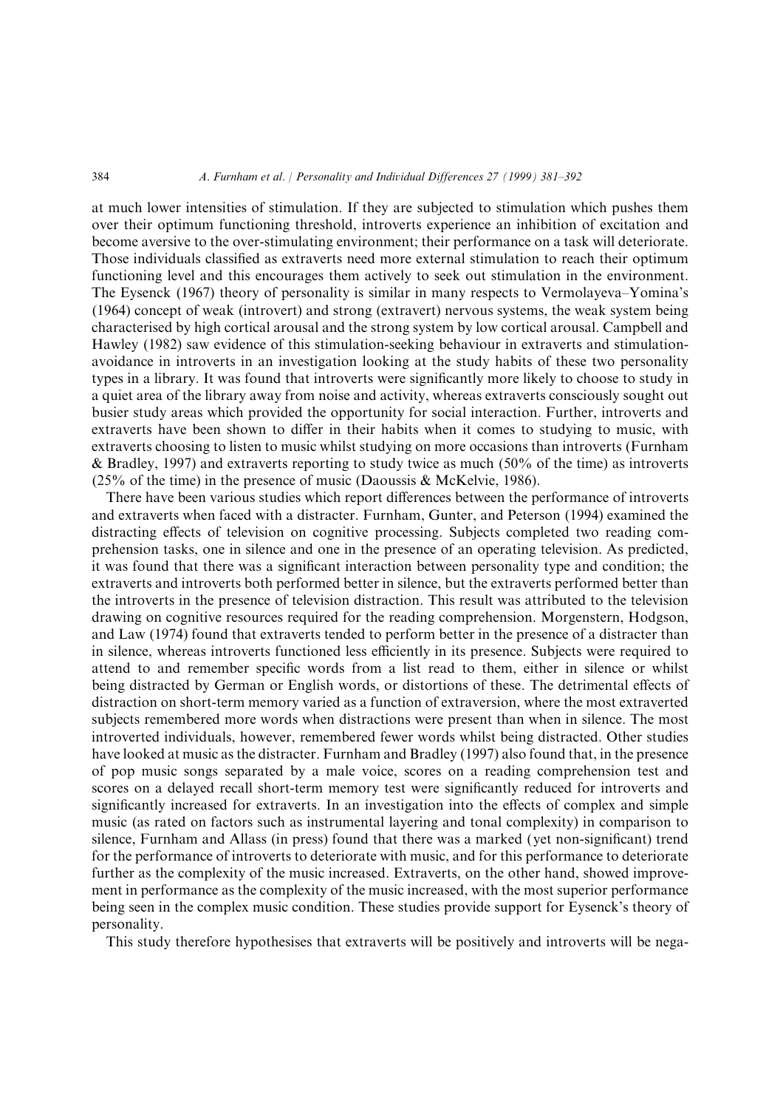#### 273 A. Furnham et al. | Personality and Individual Differences 27 (1999) 381–392

at much lower intensities of stimulation. If they are subjected to stimulation which pushes them over their optimum functioning threshold\ introverts experience an inhibition of excitation and become aversive to the over-stimulating environment; their performance on a task will deteriorate. Those individuals classified as extraverts need more external stimulation to reach their optimum functioning level and this encourages them actively to seek out stimulation in the environment. The Eysenck (1967) theory of personality is similar in many respects to Vermolayeva–Yomina's  $(1964)$  concept of weak (introvert) and strong (extravert) nervous systems, the weak system being characterised by high cortical arousal and the strong system by low cortical arousal. Campbell and Hawley (1982) saw evidence of this stimulation-seeking behaviour in extraverts and stimulationavoidance in introverts in an investigation looking at the study habits of these two personality types in a library. It was found that introverts were significantly more likely to choose to study in a quiet area of the library away from noise and activity, whereas extraverts consciously sought out busier study areas which provided the opportunity for social interaction. Further, introverts and extraverts have been shown to differ in their habits when it comes to studying to music, with extraverts choosing to listen to music whilst studying on more occasions than introverts (Furnham & Bradley, 1997) and extraverts reporting to study twice as much  $(50\%$  of the time) as introverts  $(25\%$  of the time) in the presence of music (Daoussis & McKelvie, 1986).

There have been various studies which report differences between the performance of introverts and extraverts when faced with a distracter. Furnham, Gunter, and Peterson (1994) examined the distracting effects of television on cognitive processing. Subjects completed two reading comprehension tasks, one in silence and one in the presence of an operating television. As predicted, it was found that there was a significant interaction between personality type and condition; the extraverts and introverts both performed better in silence, but the extraverts performed better than the introverts in the presence of television distraction[ This result was attributed to the television drawing on cognitive resources required for the reading comprehension. Morgenstern, Hodgson, and Law (1974) found that extraverts tended to perform better in the presence of a distracter than in silence, whereas introverts functioned less efficiently in its presence. Subjects were required to attend to and remember specific words from a list read to them, either in silence or whilst being distracted by German or English words, or distortions of these. The detrimental effects of distraction on short-term memory varied as a function of extraversion, where the most extraverted subjects remembered more words when distractions were present than when in silence. The most introverted individuals, however, remembered fewer words whilst being distracted. Other studies have looked at music as the distracter. Furnham and Bradley (1997) also found that, in the presence of pop music songs separated by a male voice\ scores on a reading comprehension test and scores on a delayed recall short-term memory test were significantly reduced for introverts and significantly increased for extraverts. In an investigation into the effects of complex and simple music (as rated on factors such as instrumental layering and tonal complexity) in comparison to silence, Furnham and Allass (in press) found that there was a marked (yet non-significant) trend for the performance of introverts to deteriorate with music, and for this performance to deteriorate further as the complexity of the music increased. Extraverts, on the other hand, showed improvement in performance as the complexity of the music increased, with the most superior performance being seen in the complex music condition. These studies provide support for Eysenck's theory of personality.

This study therefore hypothesises that extraverts will be positively and introverts will be nega-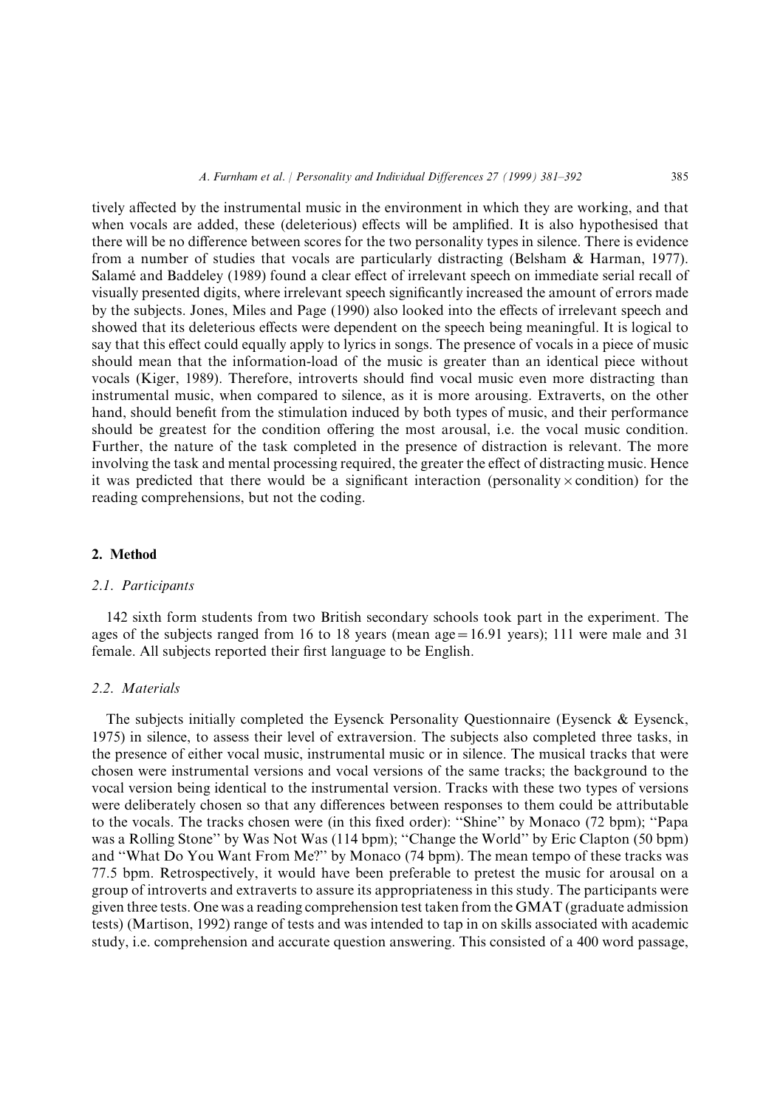tively affected by the instrumental music in the environment in which they are working, and that when vocals are added, these (deleterious) effects will be amplified. It is also hypothesised that there will be no difference between scores for the two personality types in silence. There is evidence from a number of studies that vocals are particularly distracting (Belsham  $\&$  Harman, 1977). Salamé and Baddeley (1989) found a clear effect of irrelevant speech on immediate serial recall of visually presented digits, where irrelevant speech significantly increased the amount of errors made by the subjects. Jones, Miles and Page (1990) also looked into the effects of irrelevant speech and showed that its deleterious effects were dependent on the speech being meaningful. It is logical to say that this effect could equally apply to lyrics in songs. The presence of vocals in a piece of music should mean that the information-load of the music is greater than an identical piece without vocals (Kiger, 1989). Therefore, introverts should find vocal music even more distracting than instrumental music, when compared to silence, as it is more arousing. Extraverts, on the other hand, should benefit from the stimulation induced by both types of music, and their performance should be greatest for the condition offering the most arousal, i.e. the vocal music condition. Further, the nature of the task completed in the presence of distraction is relevant. The more involving the task and mental processing required, the greater the effect of distracting music. Hence it was predicted that there would be a significant interaction (personality  $\times$  condition) for the reading comprehensions, but not the coding.

## 2. Method

## 2.1. Participants

142 sixth form students from two British secondary schools took part in the experiment. The ages of the subjects ranged from 16 to 18 years (mean age =  $16.91$  years); 111 were male and 31 female. All subjects reported their first language to be English.

### 2.2. Materials

The subjects initially completed the Eysenck Personality Questionnaire (Eysenck  $\&$  Eysenck, 1975) in silence, to assess their level of extraversion. The subjects also completed three tasks, in the presence of either vocal music, instrumental music or in silence. The musical tracks that were chosen were instrumental versions and vocal versions of the same tracks; the background to the vocal version being identical to the instrumental version. Tracks with these two types of versions were deliberately chosen so that any differences between responses to them could be attributable to the vocals. The tracks chosen were (in this fixed order): "Shine" by Monaco (72 bpm); "Papa was a Rolling Stone" by Was Not Was (114 bpm); "Change the World" by Eric Clapton (50 bpm) and "What Do You Want From Me?" by Monaco (74 bpm). The mean tempo of these tracks was 77.5 bpm. Retrospectively, it would have been preferable to pretest the music for arousal on a group of introverts and extraverts to assure its appropriateness in this study[ The participants were given three tests. One was a reading comprehension test taken from the GMAT (graduate admission tests) (Martison, 1992) range of tests and was intended to tap in on skills associated with academic study, i.e. comprehension and accurate question answering. This consisted of a 400 word passage,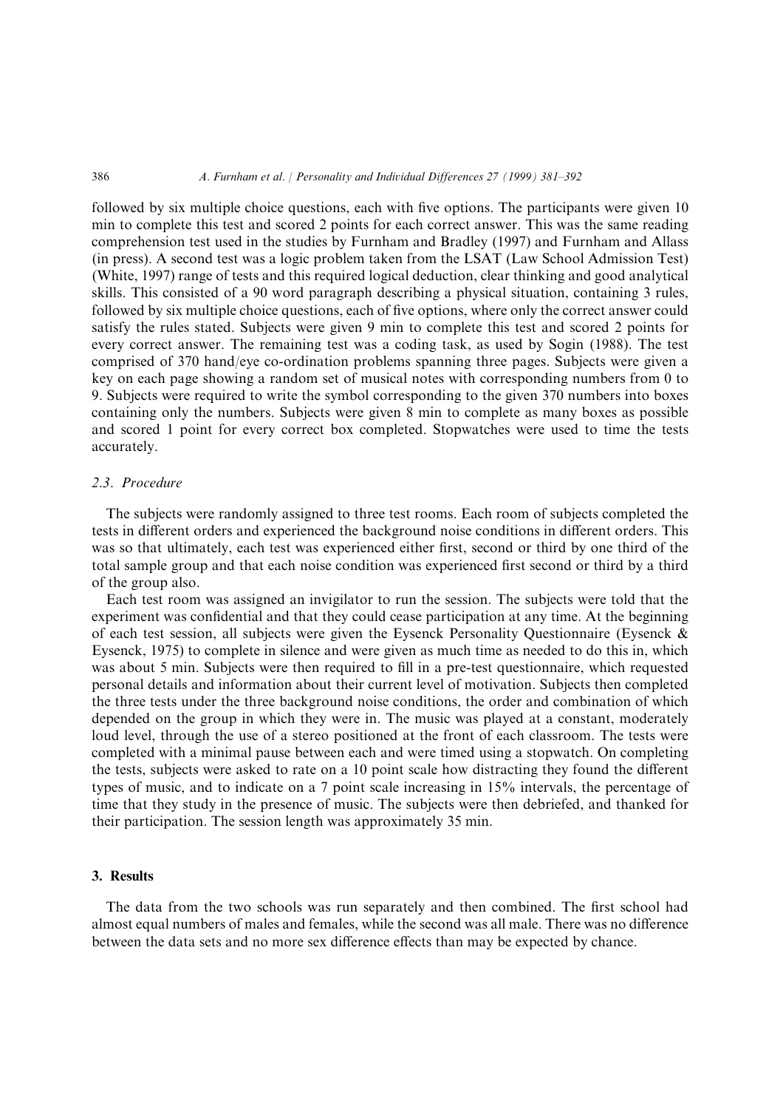#### 275 386 A. Furnham et al. | Personality and Individual Differences 27 (1999) 381–392

followed by six multiple choice questions, each with five options. The participants were given  $10$ min to complete this test and scored 2 points for each correct answer. This was the same reading comprehension test used in the studies by Furnham and Bradley (1997) and Furnham and Allass  $(in press)$ . A second test was a logic problem taken from the LSAT  $(Law School$  Admission Test $)$ (White, 1997) range of tests and this required logical deduction, clear thinking and good analytical skills. This consisted of a 90 word paragraph describing a physical situation, containing 3 rules, followed by six multiple choice questions, each of five options, where only the correct answer could satisfy the rules stated. Subjects were given 9 min to complete this test and scored 2 points for every correct answer. The remaining test was a coding task, as used by Sogin (1988). The test comprised of 370 hand/eye co-ordination problems spanning three pages. Subjects were given a key on each page showing a random set of musical notes with corresponding numbers from 0 to 9. Subjects were required to write the symbol corresponding to the given 370 numbers into boxes containing only the numbers. Subjects were given 8 min to complete as many boxes as possible and scored 1 point for every correct box completed. Stopwatches were used to time the tests accurately.

# 2.3. Procedure

The subjects were randomly assigned to three test rooms. Each room of subjects completed the tests in different orders and experienced the background noise conditions in different orders. This was so that ultimately, each test was experienced either first, second or third by one third of the total sample group and that each noise condition was experienced first second or third by a third of the group also.

Each test room was assigned an invigilator to run the session. The subjects were told that the experiment was confidential and that they could cease participation at any time. At the beginning of each test session, all subjects were given the Eysenck Personality Questionnaire (Eysenck  $\&$ Eysenck,  $1975$ ) to complete in silence and were given as much time as needed to do this in, which was about 5 min. Subjects were then required to fill in a pre-test questionnaire, which requested personal details and information about their current level of motivation. Subjects then completed the three tests under the three background noise conditions\ the order and combination of which depended on the group in which they were in. The music was played at a constant, moderately loud level, through the use of a stereo positioned at the front of each classroom. The tests were completed with a minimal pause between each and were timed using a stopwatch. On completing the tests, subjects were asked to rate on a 10 point scale how distracting they found the different types of music, and to indicate on a 7 point scale increasing in  $15\%$  intervals, the percentage of time that they study in the presence of music. The subjects were then debriefed, and thanked for their participation. The session length was approximately  $35$  min.

## 3. Results

The data from the two schools was run separately and then combined. The first school had almost equal numbers of males and females, while the second was all male. There was no difference between the data sets and no more sex difference effects than may be expected by chance.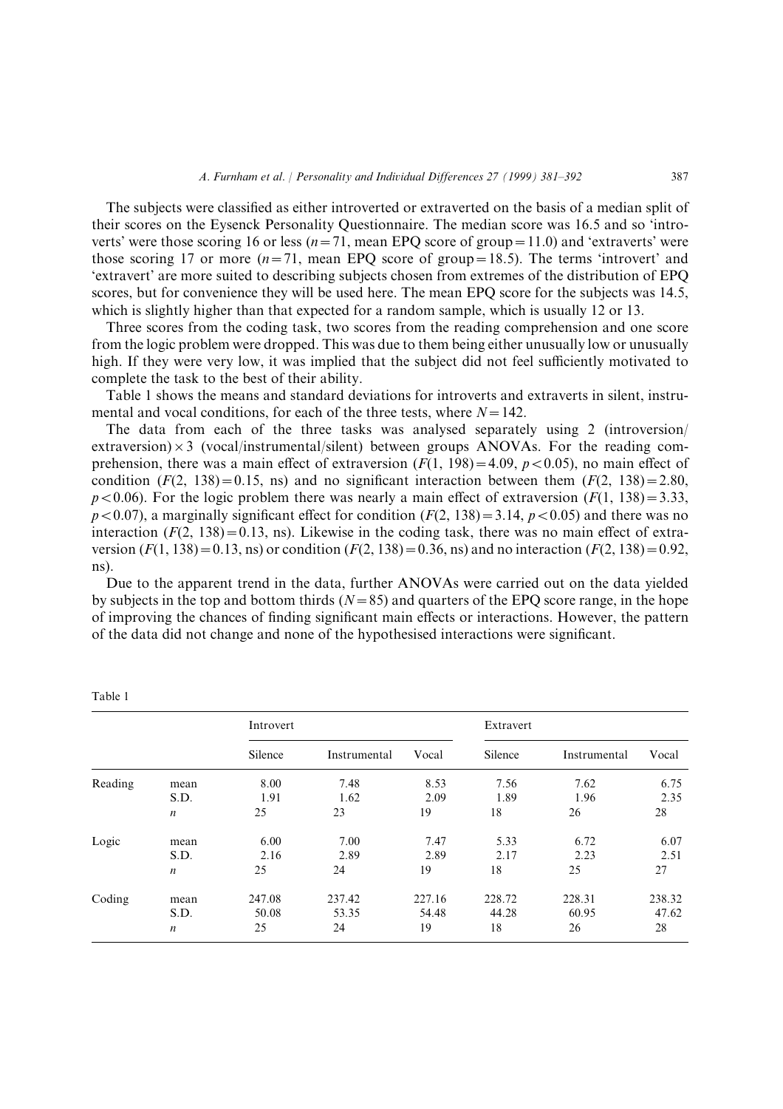The subjects were classified as either introverted or extraverted on the basis of a median split of their scores on the Eysenck Personality Questionnaire. The median score was 16.5 and so 'introverts' were those scoring 16 or less  $(n=71, \text{mean EPQ score of group}=11.0)$  and 'extraverts' were those scoring 17 or more  $(n=71$ , mean EPQ score of group=18.5). The terms 'introvert' and 'extravert' are more suited to describing subjects chosen from extremes of the distribution of EPQ scores, but for convenience they will be used here. The mean EPQ score for the subjects was  $14.5$ , which is slightly higher than that expected for a random sample, which is usually 12 or 13.

Three scores from the coding task, two scores from the reading comprehension and one score from the logic problem were dropped. This was due to them being either unusually low or unusually high. If they were very low, it was implied that the subject did not feel sufficiently motivated to complete the task to the best of their ability.

Table 1 shows the means and standard deviations for introverts and extraverts in silent, instrumental and vocal conditions, for each of the three tests, where  $N=142$ .

The data from each of the three tasks was analysed separately using  $2$  (introversion/ extraversion)  $\times$  3 (vocal/instrumental/silent) between groups ANOVAs. For the reading comprehension, there was a main effect of extraversion  $(F(1, 198)=4.09, p<0.05)$ , no main effect of condition  $(F(2, 138)=0.15$ , ns) and no significant interaction between them  $(F(2, 138)=2.80$ ,  $p < 0.06$ ). For the logic problem there was nearly a main effect of extraversion (F(1, 138) = 3.33,  $p < 0.07$ ), a marginally significant effect for condition  $(F(2, 138)) = 3.14$ ,  $p < 0.05$ ) and there was no interaction  $(F(2, 138)=0.13$ , ns). Likewise in the coding task, there was no main effect of extraversion  $(F(1, 138) = 0.13$ , ns) or condition  $(F(2, 138) = 0.36$ , ns) and no interaction  $(F(2, 138) = 0.92$ ,  $\text{ns}$ ).

Due to the apparent trend in the data, further ANOVAs were carried out on the data yielded by subjects in the top and bottom thirds  $(N=85)$  and quarters of the EPQ score range, in the hope of improving the chances of finding significant main effects or interactions. However, the pattern of the data did not change and none of the hypothesised interactions were significant.

|         |                  | Introvert |              |        | Extravert |              |        |
|---------|------------------|-----------|--------------|--------|-----------|--------------|--------|
|         |                  | Silence   | Instrumental | Vocal  | Silence   | Instrumental | Vocal  |
| Reading | mean             | 8.00      | 7.48         | 8.53   | 7.56      | 7.62         | 6.75   |
|         | S.D.             | 1.91      | 1.62         | 2.09   | 1.89      | 1.96         | 2.35   |
|         | $\boldsymbol{n}$ | 25        | 23           | 19     | 18        | 26           | 28     |
| Logic   | mean             | 6.00      | 7.00         | 7.47   | 5.33      | 6.72         | 6.07   |
|         | S.D.             | 2.16      | 2.89         | 2.89   | 2.17      | 2.23         | 2.51   |
|         | $\boldsymbol{n}$ | 25        | 24           | 19     | 18        | 25           | 27     |
| Coding  | mean             | 247.08    | 237.42       | 227.16 | 228.72    | 228.31       | 238.32 |
|         | S.D.             | 50.08     | 53.35        | 54.48  | 44.28     | 60.95        | 47.62  |
|         | $\boldsymbol{n}$ | 25        | 24           | 19     | 18        | 26           | 28     |

Table 1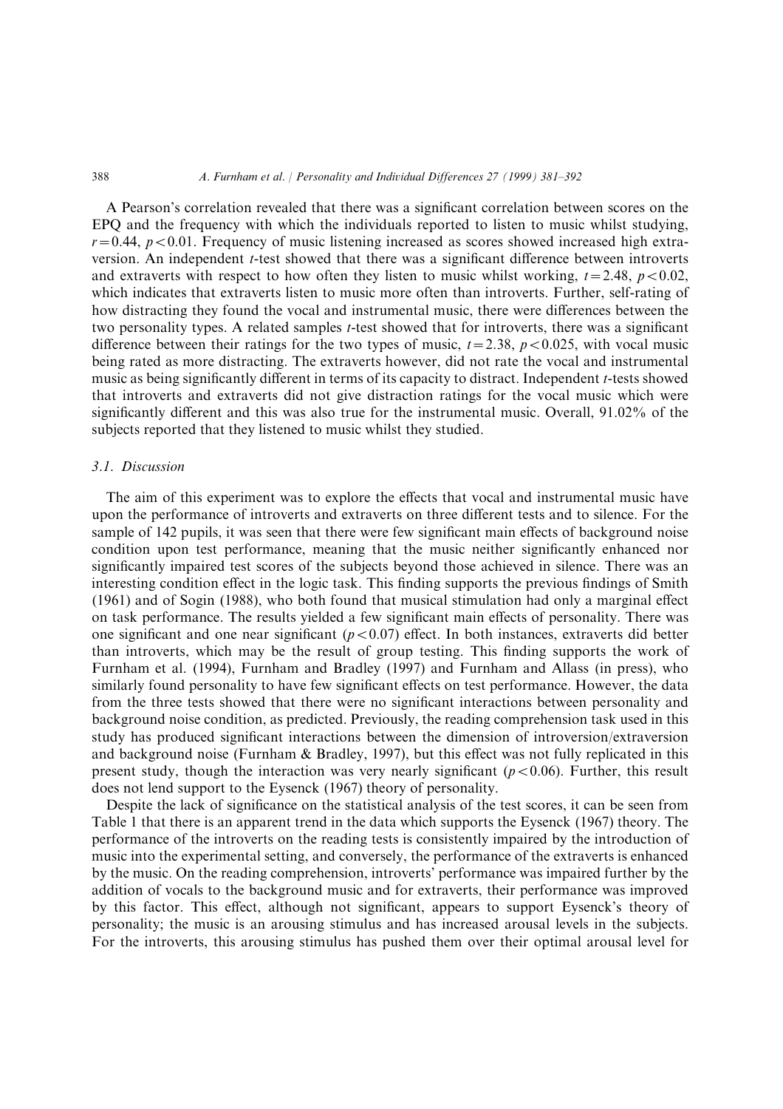#### 277 388 A. Furnham et al. | Personality and Individual Differences 27 (1999) 381–392

A Pearson's correlation revealed that there was a significant correlation between scores on the EPQ and the frequency with which the individuals reported to listen to music whilst studying,  $r=0.44$ ,  $p<0.01$ . Frequency of music listening increased as scores showed increased high extraversion. An independent t-test showed that there was a significant difference between introverts and extraverts with respect to how often they listen to music whilst working,  $t=2.48$ ,  $p<0.02$ , which indicates that extraverts listen to music more often than introverts. Further, self-rating of how distracting they found the vocal and instrumental music, there were differences between the two personality types. A related samples  $t$ -test showed that for introverts, there was a significant difference between their ratings for the two types of music,  $t=2.38$ ,  $p<0.025$ , with vocal music being rated as more distracting. The extraverts however, did not rate the vocal and instrumental music as being significantly different in terms of its capacity to distract. Independent t-tests showed that introverts and extraverts did not give distraction ratings for the vocal music which were significantly different and this was also true for the instrumental music. Overall,  $91.02\%$  of the subjects reported that they listened to music whilst they studied.

## 3.1. Discussion

The aim of this experiment was to explore the effects that vocal and instrumental music have upon the performance of introverts and extraverts on three different tests and to silence. For the sample of 142 pupils, it was seen that there were few significant main effects of background noise condition upon test performance, meaning that the music neither significantly enhanced nor significantly impaired test scores of the subjects beyond those achieved in silence. There was an interesting condition effect in the logic task. This finding supports the previous findings of Smith  $(1961)$  and of Sogin  $(1988)$ , who both found that musical stimulation had only a marginal effect on task performance. The results yielded a few significant main effects of personality. There was one significant and one near significant ( $p < 0.07$ ) effect. In both instances, extraverts did better than introverts, which may be the result of group testing. This finding supports the work of Furnham et al. (1994), Furnham and Bradley (1997) and Furnham and Allass (in press), who similarly found personality to have few significant effects on test performance. However, the data from the three tests showed that there were no significant interactions between personality and background noise condition, as predicted. Previously, the reading comprehension task used in this study has produced significant interactions between the dimension of introversion/extraversion and background noise (Furnham  $\&$  Bradley, 1997), but this effect was not fully replicated in this present study, though the interaction was very nearly significant  $(p<0.06)$ . Further, this result does not lend support to the Eysenck (1967) theory of personality.

Despite the lack of significance on the statistical analysis of the test scores, it can be seen from Table 1 that there is an apparent trend in the data which supports the Eysenck  $(1967)$  theory. The performance of the introverts on the reading tests is consistently impaired by the introduction of music into the experimental setting, and conversely, the performance of the extraverts is enhanced by the music. On the reading comprehension, introverts' performance was impaired further by the addition of vocals to the background music and for extraverts, their performance was improved by this factor. This effect, although not significant, appears to support Eysenck's theory of personality; the music is an arousing stimulus and has increased arousal levels in the subjects. For the introverts, this arousing stimulus has pushed them over their optimal arousal level for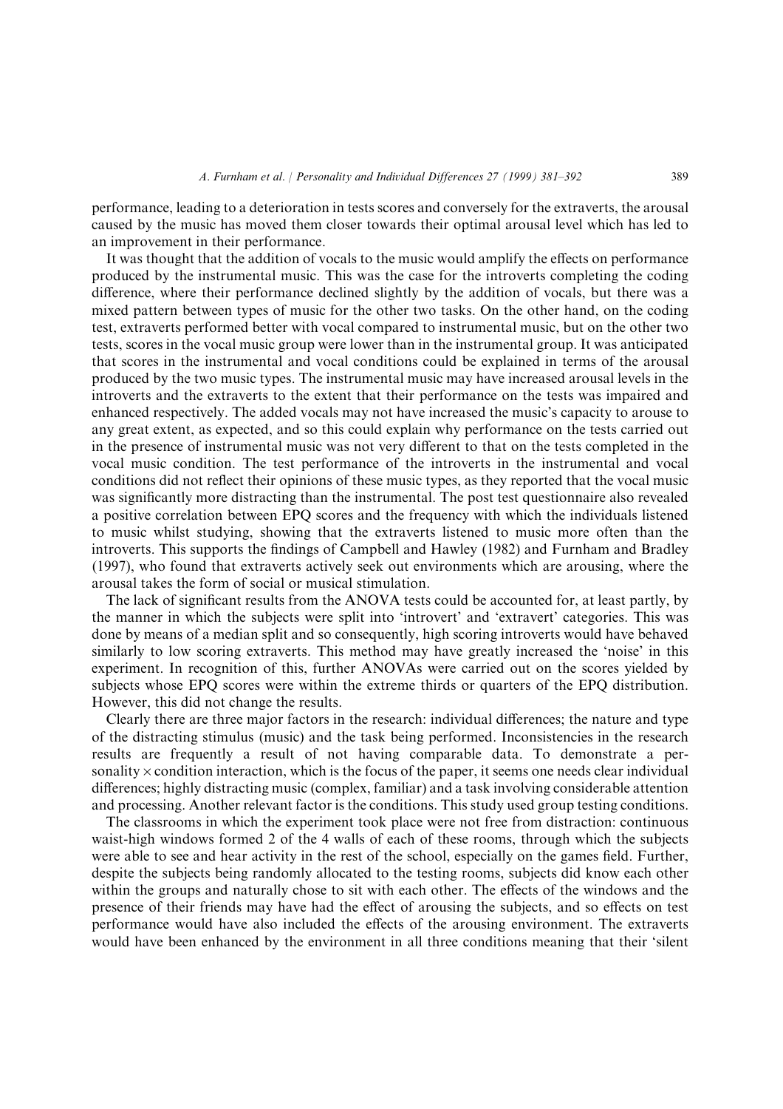performance\ leading to a deterioration in tests scores and conversely for the extraverts\ the arousal caused by the music has moved them closer towards their optimal arousal level which has led to an improvement in their performance.

It was thought that the addition of vocals to the music would amplify the effects on performance produced by the instrumental music. This was the case for the introverts completing the coding difference, where their performance declined slightly by the addition of vocals, but there was a mixed pattern between types of music for the other two tasks. On the other hand, on the coding test, extraverts performed better with vocal compared to instrumental music, but on the other two tests, scores in the vocal music group were lower than in the instrumental group. It was anticipated that scores in the instrumental and vocal conditions could be explained in terms of the arousal produced by the two music types. The instrumental music may have increased arousal levels in the introverts and the extraverts to the extent that their performance on the tests was impaired and enhanced respectively. The added vocals may not have increased the music's capacity to arouse to any great extent, as expected, and so this could explain why performance on the tests carried out in the presence of instrumental music was not very different to that on the tests completed in the vocal music condition[ The test performance of the introverts in the instrumental and vocal conditions did not reflect their opinions of these music types, as they reported that the vocal music was significantly more distracting than the instrumental. The post test questionnaire also revealed a positive correlation between EPQ scores and the frequency with which the individuals listened to music whilst studying\ showing that the extraverts listened to music more often than the introverts. This supports the findings of Campbell and Hawley (1982) and Furnham and Bradley  $(1997)$ , who found that extraverts actively seek out environments which are arousing, where the arousal takes the form of social or musical stimulation.

The lack of significant results from the ANOVA tests could be accounted for, at least partly, by the manner in which the subjects were split into 'introvert' and 'extravert' categories. This was done by means of a median split and so consequently, high scoring introverts would have behaved similarly to low scoring extraverts. This method may have greatly increased the 'noise' in this experiment. In recognition of this, further ANOVAs were carried out on the scores yielded by subjects whose EPQ scores were within the extreme thirds or quarters of the EPQ distribution. However, this did not change the results.

Clearly there are three major factors in the research: individual differences; the nature and type of the distracting stimulus (music) and the task being performed. Inconsistencies in the research results are frequently a result of not having comparable data. To demonstrate a personality  $\times$  condition interaction, which is the focus of the paper, it seems one needs clear individual differences; highly distracting music (complex, familiar) and a task involving considerable attention and processing. Another relevant factor is the conditions. This study used group testing conditions.

The classrooms in which the experiment took place were not free from distraction: continuous waist-high windows formed 2 of the 4 walls of each of these rooms, through which the subjects were able to see and hear activity in the rest of the school, especially on the games field. Further, despite the subjects being randomly allocated to the testing rooms, subjects did know each other within the groups and naturally chose to sit with each other. The effects of the windows and the presence of their friends may have had the effect of arousing the subjects, and so effects on test performance would have also included the effects of the arousing environment. The extraverts would have been enhanced by the environment in all three conditions meaning that their 'silent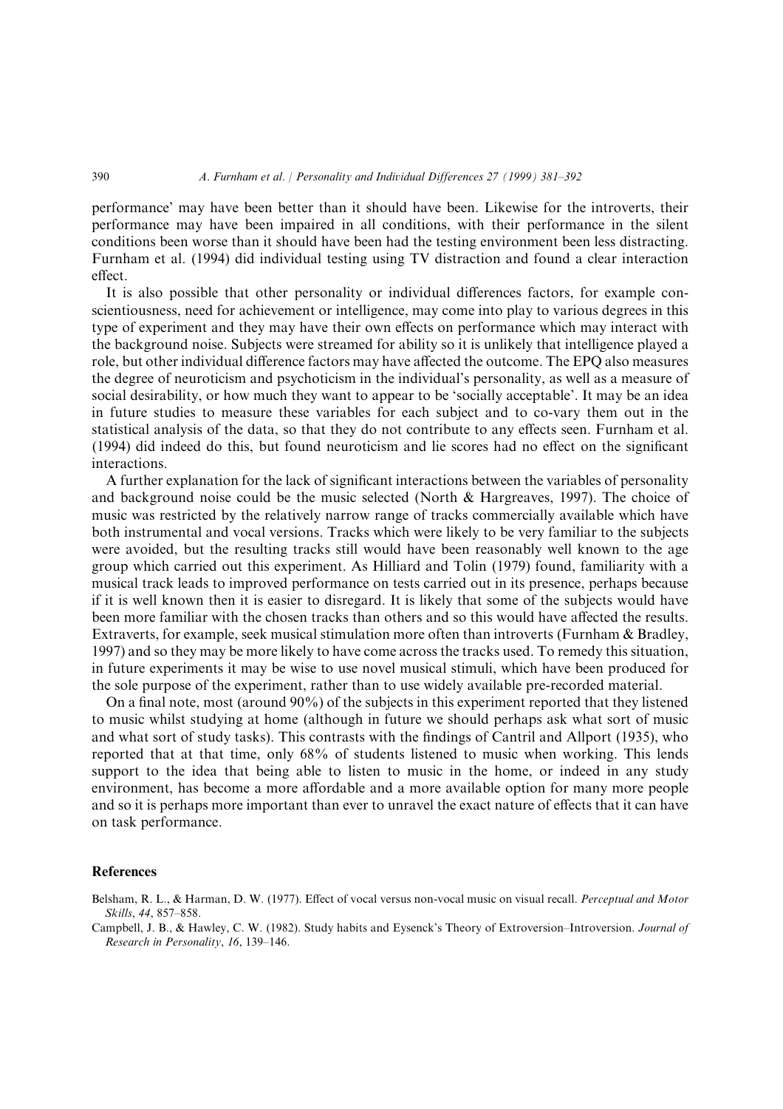#### 290 A. Furnham et al. | Personality and Individual Differences 27 (1999) 381–392

performance' may have been better than it should have been. Likewise for the introverts, their performance may have been impaired in all conditions\ with their performance in the silent conditions been worse than it should have been had the testing environment been less distracting. Furnham et al. (1994) did individual testing using TV distraction and found a clear interaction effect.

It is also possible that other personality or individual differences factors, for example conscientiousness, need for achievement or intelligence, may come into play to various degrees in this type of experiment and they may have their own effects on performance which may interact with the background noise. Subjects were streamed for ability so it is unlikely that intelligence played a role, but other individual difference factors may have affected the outcome. The EPO also measures the degree of neuroticism and psychoticism in the individual's personality, as well as a measure of social desirability, or how much they want to appear to be 'socially acceptable'. It may be an idea in future studies to measure these variables for each subject and to co-vary them out in the statistical analysis of the data, so that they do not contribute to any effects seen. Furnham et al.  $(1994)$  did indeed do this, but found neuroticism and lie scores had no effect on the significant interactions.

A further explanation for the lack of significant interactions between the variables of personality and background noise could be the music selected (North  $\&$  Hargreaves, 1997). The choice of music was restricted by the relatively narrow range of tracks commercially available which have both instrumental and vocal versions. Tracks which were likely to be very familiar to the subjects were avoided, but the resulting tracks still would have been reasonably well known to the age group which carried out this experiment. As Hilliard and Tolin (1979) found, familiarity with a musical track leads to improved performance on tests carried out in its presence, perhaps because if it is well known then it is easier to disregard. It is likely that some of the subjects would have been more familiar with the chosen tracks than others and so this would have affected the results. Extraverts, for example, seek musical stimulation more often than introverts (Furnham  $\&$  Bradley, 1997) and so they may be more likely to have come across the tracks used. To remedy this situation, in future experiments it may be wise to use novel musical stimuli, which have been produced for the sole purpose of the experiment, rather than to use widely available pre-recorded material.

On a final note, most (around  $90\%$ ) of the subjects in this experiment reported that they listened to music whilst studying at home (although in future we should perhaps ask what sort of music and what sort of study tasks). This contrasts with the findings of Cantril and Allport (1935), who reported that at that time, only  $68\%$  of students listened to music when working. This lends support to the idea that being able to listen to music in the home, or indeed in any study environment, has become a more affordable and a more available option for many more people and so it is perhaps more important than ever to unravel the exact nature of effects that it can have on task performance.

## References

Belsham, R. L., & Harman, D. W. (1977). Effect of vocal versus non-vocal music on visual recall. Perceptual and Motor Skills, 44, 857-858.

Campbell, J. B., & Hawley, C. W. (1982). Study habits and Eysenck's Theory of Extroversion–Introversion. Journal of Research in Personality, 16, 139-146.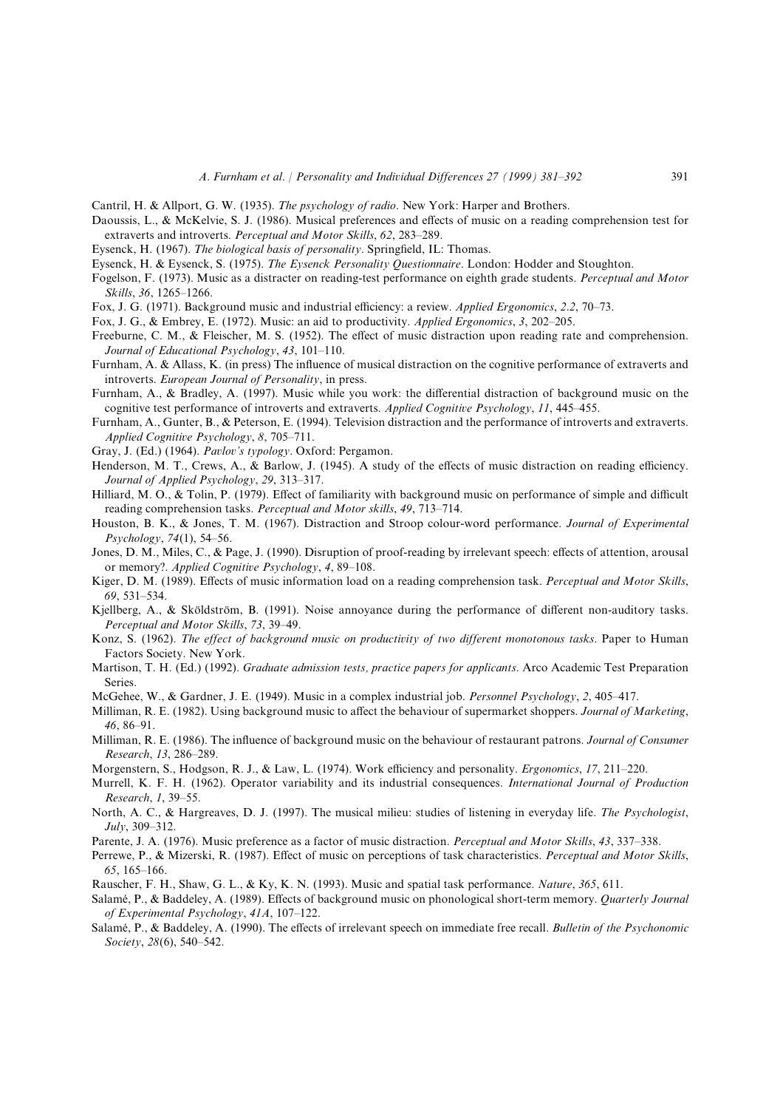- Cantril, H. & Allport, G. W. (1935). The psychology of radio. New York: Harper and Brothers.
- Daoussis, L., & McKelvie, S. J. (1986). Musical preferences and effects of music on a reading comprehension test for extraverts and introverts. Perceptual and Motor Skills, 62, 283-289.
- Eysenck, H. (1967). The biological basis of personality. Springfield, IL: Thomas.
- Eysenck, H. & Eysenck, S. (1975). The Eysenck Personality Questionnaire. London: Hodder and Stoughton.
- Fogelson, F. (1973). Music as a distracter on reading-test performance on eighth grade students. Perceptual and Motor Skills, 36, 1265-1266.
- Fox, J. G. (1971). Background music and industrial efficiency: a review. *Applied Ergonomics*, 2.2, 70–73.
- Fox, J. G., & Embrey, E. (1972). Music: an aid to productivity. Applied Ergonomics, 3, 202–205.
- Freeburne, C. M., & Fleischer, M. S. (1952). The effect of music distraction upon reading rate and comprehension. Journal of Educational Psychology, 43, 101-110.
- Furnham, A. & Allass, K. (in press) The influence of musical distraction on the cognitive performance of extraverts and introverts. European Journal of Personality, in press.
- Furnham, A., & Bradley, A. (1997). Music while you work: the differential distraction of background music on the cognitive test performance of introverts and extraverts. Applied Cognitive Psychology, 11, 445–455.
- Furnham, A., Gunter, B., & Peterson, E. (1994). Television distraction and the performance of introverts and extraverts. Applied Cognitive Psychology,  $8,705-711$ .
- Gray, J. (Ed.) (1964). Pavlov's typology. Oxford: Pergamon.
- Henderson, M. T., Crews, A., & Barlow, J. (1945). A study of the effects of music distraction on reading efficiency. Journal of Applied Psychology, 29, 313-317.
- Hilliard, M. O., & Tolin, P. (1979). Effect of familiarity with background music on performance of simple and difficult reading comprehension tasks. Perceptual and Motor skills, 49, 713-714.
- Houston, B. K., & Jones, T. M. (1967). Distraction and Stroop colour-word performance. Journal of Experimental  $Psychology, 74(1), 54–56.$
- Jones, D. M., Miles, C., & Page, J. (1990). Disruption of proof-reading by irrelevant speech: effects of attention, arousal or memory?. Applied Cognitive Psychology, 4, 89-108.
- Kiger, D. M. (1989). Effects of music information load on a reading comprehension task. Perceptual and Motor Skills,  $69.531 - 534.$
- Kjellberg, A., & Sköldström, B. (1991). Noise annoyance during the performance of different non-auditory tasks. Perceptual and Motor Skills, 73, 39-49.
- Konz, S. (1962). The effect of background music on productivity of two different monotonous tasks. Paper to Human Factors Society. New York.
- Martison, T. H. (Ed.) (1992). Graduate admission tests, practice papers for applicants. Arco Academic Test Preparation Series.
- McGehee, W., & Gardner, J. E. (1949). Music in a complex industrial job. Personnel Psychology, 2, 405–417.
- Milliman, R. E. (1982). Using background music to affect the behaviour of supermarket shoppers. Journal of Marketing,  $46.86 - 91$
- Milliman, R. E. (1986). The influence of background music on the behaviour of restaurant patrons. Journal of Consumer Research, 13, 286-289.
- Morgenstern, S., Hodgson, R. J., & Law, L. (1974). Work efficiency and personality. Ergonomics, 17, 211–220.
- Murrell, K. F. H. (1962). Operator variability and its industrial consequences. International Journal of Production Research, 1, 39–55.
- North, A. C., & Hargreaves, D. J. (1997). The musical milieu: studies of listening in everyday life. The Psychologist,  $July, 309-312.$
- Parente, J. A. (1976). Music preference as a factor of music distraction. Perceptual and Motor Skills, 43, 337–338.
- Perrewe, P., & Mizerski, R. (1987). Effect of music on perceptions of task characteristics. Perceptual and Motor Skills,  $65.165 - 166$
- Rauscher, F. H., Shaw, G. L., & Ky, K. N. (1993). Music and spatial task performance. Nature, 365, 611.
- Salamé, P., & Baddeley, A. (1989). Effects of background music on phonological short-term memory. Quarterly Journal of Experimental Psychology,  $41A$ , 107-122.
- Salamé, P., & Baddeley, A. (1990). The effects of irrelevant speech on immediate free recall. Bulletin of the Psychonomic Society, 28(6), 540–542.